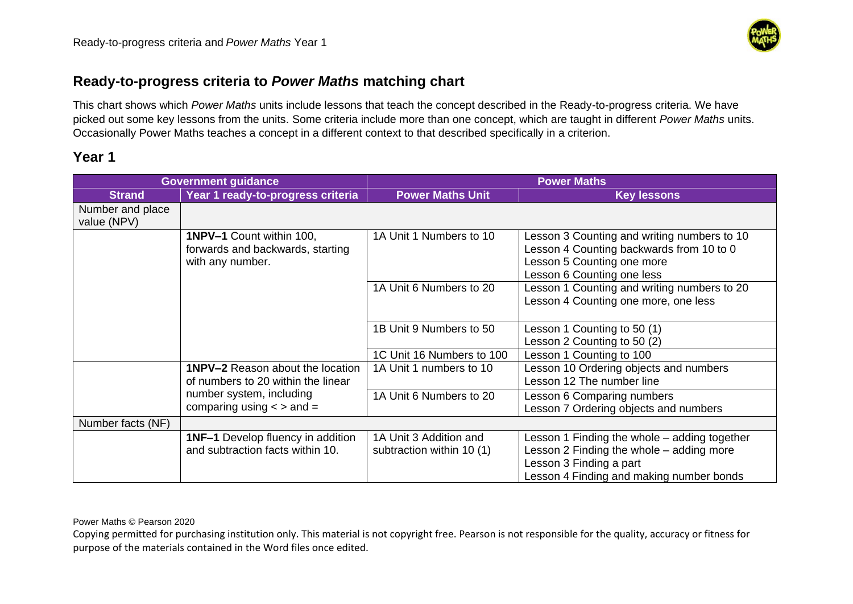

This chart shows which *Power Maths* units include lessons that teach the concept described in the Ready-to-progress criteria. We have picked out some key lessons from the units. Some criteria include more than one concept, which are taught in different *Power Maths* units. Occasionally Power Maths teaches a concept in a different context to that described specifically in a criterion.

### **Year 1**

|                                 | <b>Government guidance</b>                                                       |                                                     | <b>Power Maths</b>                                                                                                                                              |
|---------------------------------|----------------------------------------------------------------------------------|-----------------------------------------------------|-----------------------------------------------------------------------------------------------------------------------------------------------------------------|
| <b>Strand</b>                   | Year 1 ready-to-progress criteria                                                | <b>Power Maths Unit</b>                             | <b>Key lessons</b>                                                                                                                                              |
| Number and place<br>value (NPV) |                                                                                  |                                                     |                                                                                                                                                                 |
|                                 | 1NPV-1 Count within 100,<br>forwards and backwards, starting<br>with any number. | 1A Unit 1 Numbers to 10                             | Lesson 3 Counting and writing numbers to 10<br>Lesson 4 Counting backwards from 10 to 0<br>Lesson 5 Counting one more<br>Lesson 6 Counting one less             |
|                                 |                                                                                  | 1A Unit 6 Numbers to 20                             | Lesson 1 Counting and writing numbers to 20<br>Lesson 4 Counting one more, one less                                                                             |
|                                 |                                                                                  | 1B Unit 9 Numbers to 50                             | Lesson 1 Counting to 50 (1)<br>Lesson 2 Counting to 50 (2)                                                                                                      |
|                                 |                                                                                  | 1C Unit 16 Numbers to 100                           | Lesson 1 Counting to 100                                                                                                                                        |
|                                 | <b>1NPV-2</b> Reason about the location<br>of numbers to 20 within the linear    | 1A Unit 1 numbers to 10                             | Lesson 10 Ordering objects and numbers<br>Lesson 12 The number line                                                                                             |
|                                 | number system, including<br>comparing using $\lt$ > and =                        | 1A Unit 6 Numbers to 20                             | <b>Lesson 6 Comparing numbers</b><br>Lesson 7 Ordering objects and numbers                                                                                      |
| Number facts (NF)               |                                                                                  |                                                     |                                                                                                                                                                 |
|                                 | <b>1NF-1</b> Develop fluency in addition<br>and subtraction facts within 10.     | 1A Unit 3 Addition and<br>subtraction within 10 (1) | Lesson 1 Finding the whole - adding together<br>Lesson 2 Finding the whole - adding more<br>Lesson 3 Finding a part<br>Lesson 4 Finding and making number bonds |

Power Maths © Pearson 2020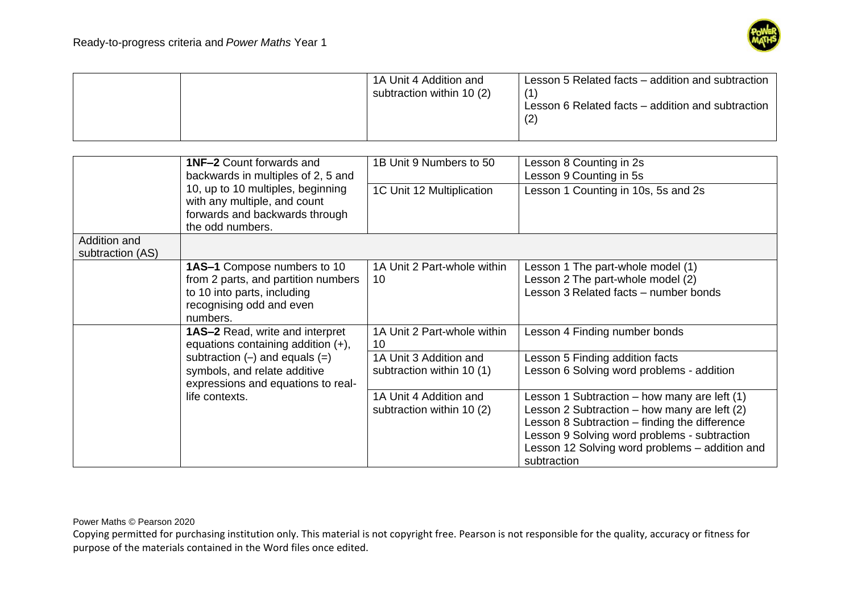

| subtraction within 10 (2)<br>(2) | Lesson 6 Related facts – addition and subtraction |
|----------------------------------|---------------------------------------------------|
|----------------------------------|---------------------------------------------------|

|                                  | <b>1NF-2 Count forwards and</b><br>backwards in multiples of 2, 5 and                                                                     | 1B Unit 9 Numbers to 50                             | Lesson 8 Counting in 2s<br>Lesson 9 Counting in 5s                                                                                                                                                                                                             |
|----------------------------------|-------------------------------------------------------------------------------------------------------------------------------------------|-----------------------------------------------------|----------------------------------------------------------------------------------------------------------------------------------------------------------------------------------------------------------------------------------------------------------------|
|                                  | 10, up to 10 multiples, beginning<br>with any multiple, and count<br>forwards and backwards through<br>the odd numbers.                   | 1C Unit 12 Multiplication                           | Lesson 1 Counting in 10s, 5s and 2s                                                                                                                                                                                                                            |
| Addition and<br>subtraction (AS) |                                                                                                                                           |                                                     |                                                                                                                                                                                                                                                                |
|                                  | 1AS-1 Compose numbers to 10<br>from 2 parts, and partition numbers<br>to 10 into parts, including<br>recognising odd and even<br>numbers. | 1A Unit 2 Part-whole within<br>10                   | Lesson 1 The part-whole model (1)<br>Lesson 2 The part-whole model (2)<br>Lesson 3 Related facts - number bonds                                                                                                                                                |
|                                  | <b>1AS-2</b> Read, write and interpret<br>equations containing addition $(+)$ ,                                                           | 1A Unit 2 Part-whole within<br>10                   | Lesson 4 Finding number bonds                                                                                                                                                                                                                                  |
|                                  | subtraction $(-)$ and equals $(=)$<br>symbols, and relate additive<br>expressions and equations to real-                                  | 1A Unit 3 Addition and<br>subtraction within 10 (1) | Lesson 5 Finding addition facts<br>Lesson 6 Solving word problems - addition                                                                                                                                                                                   |
|                                  | life contexts.                                                                                                                            | 1A Unit 4 Addition and<br>subtraction within 10 (2) | Lesson 1 Subtraction – how many are left (1)<br>Lesson 2 Subtraction - how many are left (2)<br>Lesson 8 Subtraction - finding the difference<br>Lesson 9 Solving word problems - subtraction<br>Lesson 12 Solving word problems - addition and<br>subtraction |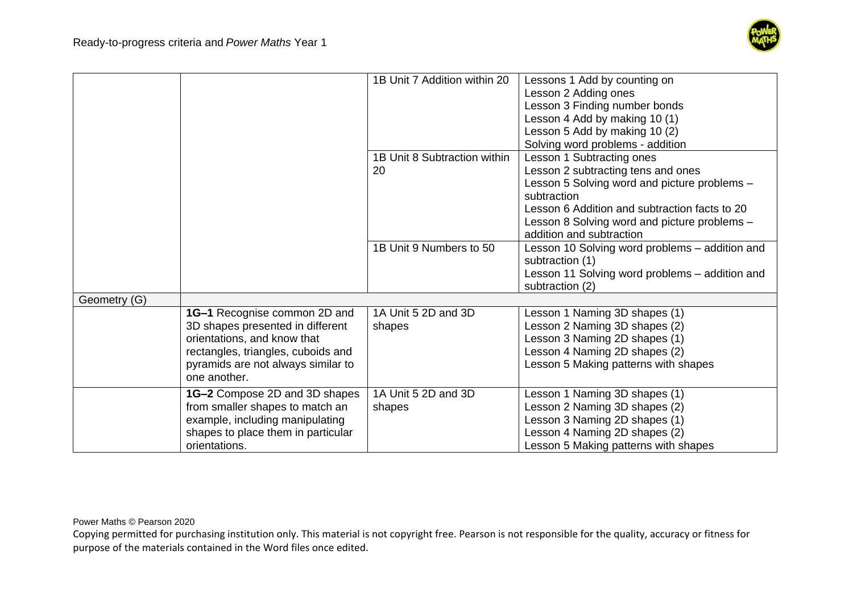

|              |                                                                                                                                                                                             | 1B Unit 7 Addition within 20  | Lessons 1 Add by counting on<br>Lesson 2 Adding ones<br>Lesson 3 Finding number bonds<br>Lesson 4 Add by making 10 (1)<br>Lesson 5 Add by making 10 (2)                  |
|--------------|---------------------------------------------------------------------------------------------------------------------------------------------------------------------------------------------|-------------------------------|--------------------------------------------------------------------------------------------------------------------------------------------------------------------------|
|              |                                                                                                                                                                                             | 1B Unit 8 Subtraction within  | Solving word problems - addition<br>Lesson 1 Subtracting ones                                                                                                            |
|              |                                                                                                                                                                                             | 20                            | Lesson 2 subtracting tens and ones<br>Lesson 5 Solving word and picture problems -                                                                                       |
|              |                                                                                                                                                                                             |                               | subtraction                                                                                                                                                              |
|              |                                                                                                                                                                                             |                               | Lesson 6 Addition and subtraction facts to 20<br>Lesson 8 Solving word and picture problems -<br>addition and subtraction                                                |
|              |                                                                                                                                                                                             | 1B Unit 9 Numbers to 50       | Lesson 10 Solving word problems - addition and<br>subtraction (1)                                                                                                        |
|              |                                                                                                                                                                                             |                               | Lesson 11 Solving word problems - addition and<br>subtraction (2)                                                                                                        |
| Geometry (G) |                                                                                                                                                                                             |                               |                                                                                                                                                                          |
|              | 1G-1 Recognise common 2D and<br>3D shapes presented in different<br>orientations, and know that<br>rectangles, triangles, cuboids and<br>pyramids are not always similar to<br>one another. | 1A Unit 5 2D and 3D<br>shapes | Lesson 1 Naming 3D shapes (1)<br>Lesson 2 Naming 3D shapes (2)<br>Lesson 3 Naming 2D shapes (1)<br>Lesson 4 Naming 2D shapes (2)<br>Lesson 5 Making patterns with shapes |
|              | <b>1G-2</b> Compose 2D and 3D shapes<br>from smaller shapes to match an<br>example, including manipulating<br>shapes to place them in particular<br>orientations.                           | 1A Unit 5 2D and 3D<br>shapes | Lesson 1 Naming 3D shapes (1)<br>Lesson 2 Naming 3D shapes (2)<br>Lesson 3 Naming 2D shapes (1)<br>Lesson 4 Naming 2D shapes (2)<br>Lesson 5 Making patterns with shapes |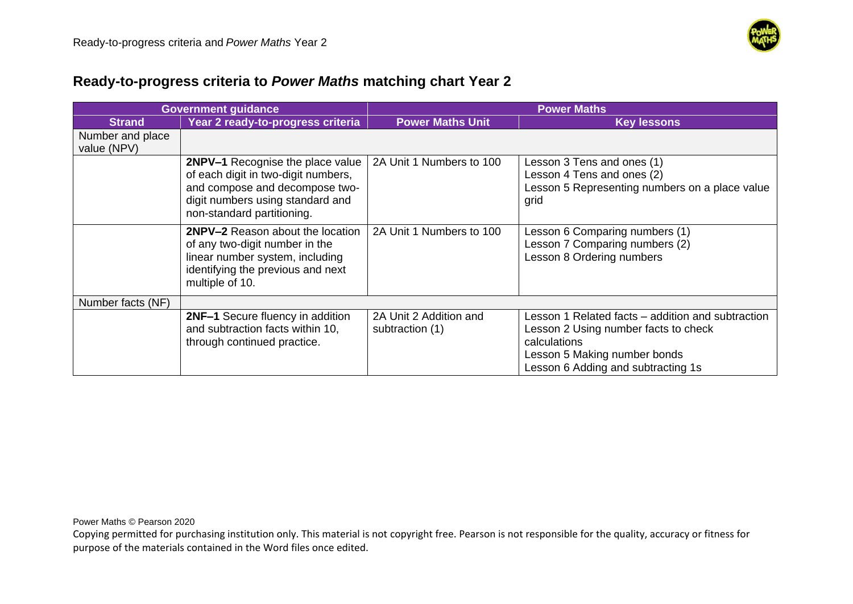

|                                 | <b>Government guidance</b>                                                                                                                                                  |                                           | <b>Power Maths</b>                                                                                                                                                              |  |
|---------------------------------|-----------------------------------------------------------------------------------------------------------------------------------------------------------------------------|-------------------------------------------|---------------------------------------------------------------------------------------------------------------------------------------------------------------------------------|--|
| <b>Strand</b>                   | Year 2 ready-to-progress criteria                                                                                                                                           | <b>Power Maths Unit</b>                   | <b>Key lessons</b>                                                                                                                                                              |  |
| Number and place<br>value (NPV) |                                                                                                                                                                             |                                           |                                                                                                                                                                                 |  |
|                                 | 2NPV-1 Recognise the place value<br>of each digit in two-digit numbers,<br>and compose and decompose two-<br>digit numbers using standard and<br>non-standard partitioning. | 2A Unit 1 Numbers to 100                  | Lesson 3 Tens and ones (1)<br>Lesson 4 Tens and ones (2)<br>Lesson 5 Representing numbers on a place value<br>grid                                                              |  |
|                                 | <b>2NPV-2</b> Reason about the location<br>of any two-digit number in the<br>linear number system, including<br>identifying the previous and next<br>multiple of 10.        | 2A Unit 1 Numbers to 100                  | Lesson 6 Comparing numbers (1)<br>Lesson 7 Comparing numbers (2)<br>Lesson 8 Ordering numbers                                                                                   |  |
| Number facts (NF)               |                                                                                                                                                                             |                                           |                                                                                                                                                                                 |  |
|                                 | <b>2NF-1</b> Secure fluency in addition<br>and subtraction facts within 10,<br>through continued practice.                                                                  | 2A Unit 2 Addition and<br>subtraction (1) | Lesson 1 Related facts - addition and subtraction<br>Lesson 2 Using number facts to check<br>calculations<br>Lesson 5 Making number bonds<br>Lesson 6 Adding and subtracting 1s |  |

Power Maths © Pearson 2020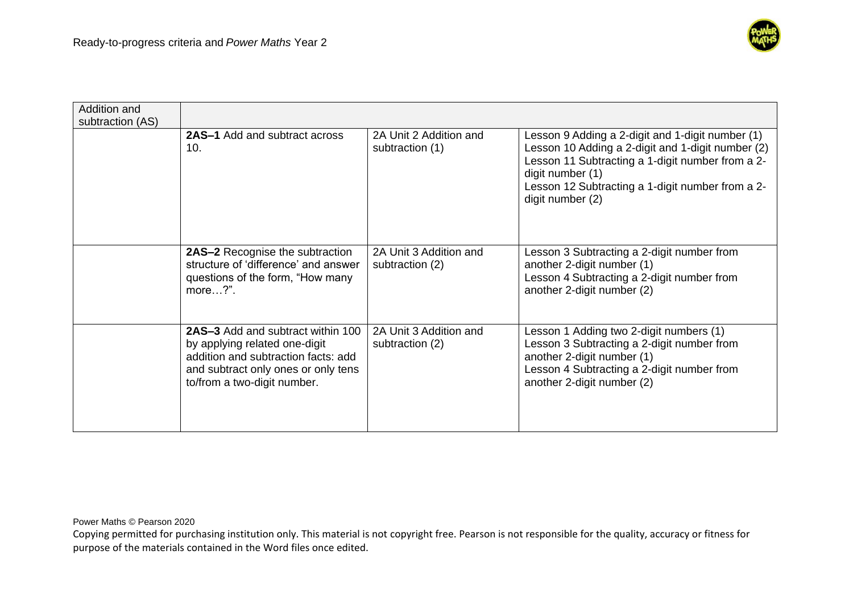

| Addition and     |                                                                                                                                                                                        |                                           |                                                                                                                                                                                                                                                       |
|------------------|----------------------------------------------------------------------------------------------------------------------------------------------------------------------------------------|-------------------------------------------|-------------------------------------------------------------------------------------------------------------------------------------------------------------------------------------------------------------------------------------------------------|
| subtraction (AS) |                                                                                                                                                                                        |                                           |                                                                                                                                                                                                                                                       |
|                  | <b>2AS-1</b> Add and subtract across<br>10.                                                                                                                                            | 2A Unit 2 Addition and<br>subtraction (1) | Lesson 9 Adding a 2-digit and 1-digit number (1)<br>Lesson 10 Adding a 2-digit and 1-digit number (2)<br>Lesson 11 Subtracting a 1-digit number from a 2-<br>digit number (1)<br>Lesson 12 Subtracting a 1-digit number from a 2-<br>digit number (2) |
|                  | <b>2AS-2</b> Recognise the subtraction<br>structure of 'difference' and answer<br>questions of the form, "How many<br>more $\ldots$ ?".                                                | 2A Unit 3 Addition and<br>subtraction (2) | Lesson 3 Subtracting a 2-digit number from<br>another 2-digit number (1)<br>Lesson 4 Subtracting a 2-digit number from<br>another 2-digit number (2)                                                                                                  |
|                  | <b>2AS-3</b> Add and subtract within 100<br>by applying related one-digit<br>addition and subtraction facts: add<br>and subtract only ones or only tens<br>to/from a two-digit number. | 2A Unit 3 Addition and<br>subtraction (2) | Lesson 1 Adding two 2-digit numbers (1)<br>Lesson 3 Subtracting a 2-digit number from<br>another 2-digit number (1)<br>Lesson 4 Subtracting a 2-digit number from<br>another 2-digit number (2)                                                       |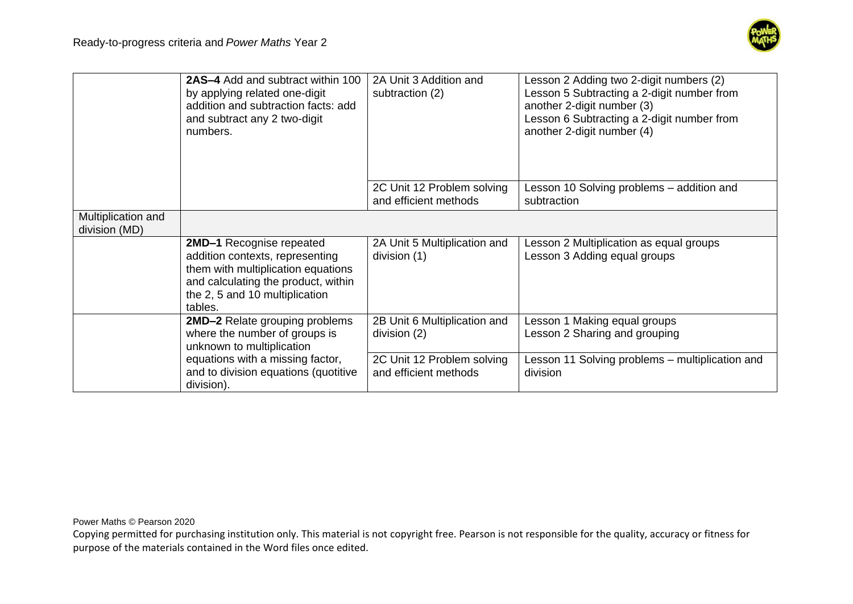

|                                     | <b>2AS-4</b> Add and subtract within 100<br>by applying related one-digit<br>addition and subtraction facts: add<br>and subtract any 2 two-digit<br>numbers.                          | 2A Unit 3 Addition and<br>subtraction (2)           | Lesson 2 Adding two 2-digit numbers (2)<br>Lesson 5 Subtracting a 2-digit number from<br>another 2-digit number (3)<br>Lesson 6 Subtracting a 2-digit number from<br>another 2-digit number (4) |
|-------------------------------------|---------------------------------------------------------------------------------------------------------------------------------------------------------------------------------------|-----------------------------------------------------|-------------------------------------------------------------------------------------------------------------------------------------------------------------------------------------------------|
|                                     |                                                                                                                                                                                       | 2C Unit 12 Problem solving<br>and efficient methods | Lesson 10 Solving problems - addition and<br>subtraction                                                                                                                                        |
| Multiplication and<br>division (MD) |                                                                                                                                                                                       |                                                     |                                                                                                                                                                                                 |
|                                     | 2MD-1 Recognise repeated<br>addition contexts, representing<br>them with multiplication equations<br>and calculating the product, within<br>the 2, 5 and 10 multiplication<br>tables. | 2A Unit 5 Multiplication and<br>division (1)        | Lesson 2 Multiplication as equal groups<br>Lesson 3 Adding equal groups                                                                                                                         |
|                                     | 2MD-2 Relate grouping problems<br>where the number of groups is<br>unknown to multiplication                                                                                          | 2B Unit 6 Multiplication and<br>division (2)        | Lesson 1 Making equal groups<br>Lesson 2 Sharing and grouping                                                                                                                                   |
|                                     | equations with a missing factor,<br>and to division equations (quotitive<br>division).                                                                                                | 2C Unit 12 Problem solving<br>and efficient methods | Lesson 11 Solving problems – multiplication and<br>division                                                                                                                                     |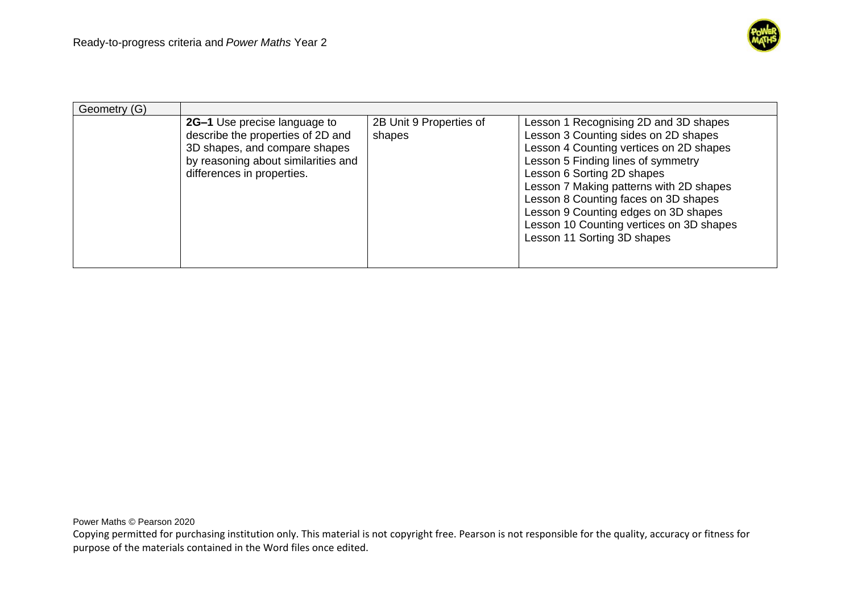

| Geometry (G) |                                                                                                                                                                         |                                   |                                                                                                                                                                                                                                                                                                                                                                                                    |
|--------------|-------------------------------------------------------------------------------------------------------------------------------------------------------------------------|-----------------------------------|----------------------------------------------------------------------------------------------------------------------------------------------------------------------------------------------------------------------------------------------------------------------------------------------------------------------------------------------------------------------------------------------------|
|              | 2G-1 Use precise language to<br>describe the properties of 2D and<br>3D shapes, and compare shapes<br>by reasoning about similarities and<br>differences in properties. | 2B Unit 9 Properties of<br>shapes | Lesson 1 Recognising 2D and 3D shapes<br>Lesson 3 Counting sides on 2D shapes<br>Lesson 4 Counting vertices on 2D shapes<br>Lesson 5 Finding lines of symmetry<br>Lesson 6 Sorting 2D shapes<br>Lesson 7 Making patterns with 2D shapes<br>Lesson 8 Counting faces on 3D shapes<br>Lesson 9 Counting edges on 3D shapes<br>Lesson 10 Counting vertices on 3D shapes<br>Lesson 11 Sorting 3D shapes |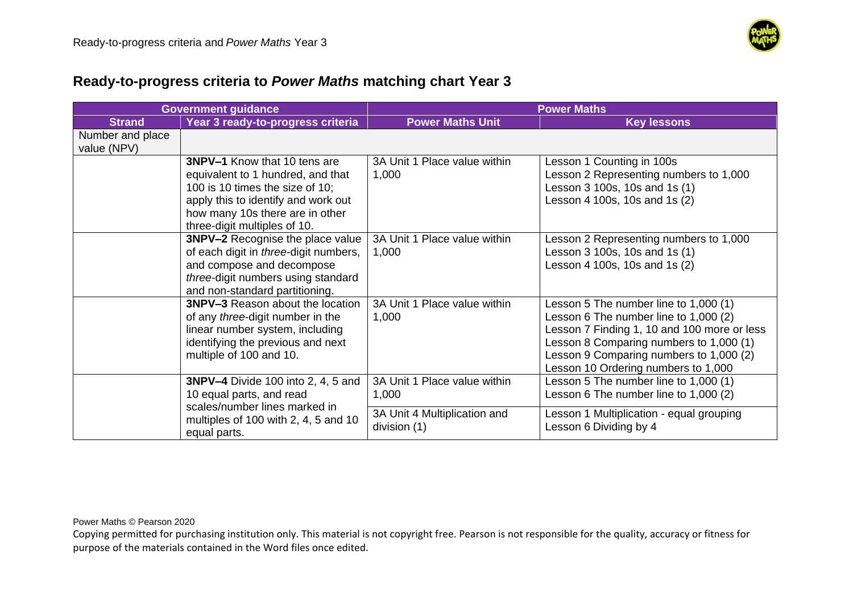

| <b>Government guidance</b>      |                                                                                                                                                                                                                       | <b>Power Maths</b>                           |                                                                                                                                                                                                                                                            |
|---------------------------------|-----------------------------------------------------------------------------------------------------------------------------------------------------------------------------------------------------------------------|----------------------------------------------|------------------------------------------------------------------------------------------------------------------------------------------------------------------------------------------------------------------------------------------------------------|
| <b>Strand</b>                   | Year 3 ready-to-progress criteria                                                                                                                                                                                     | <b>Power Maths Unit</b>                      | <b>Key lessons</b>                                                                                                                                                                                                                                         |
| Number and place<br>value (NPV) |                                                                                                                                                                                                                       |                                              |                                                                                                                                                                                                                                                            |
|                                 | <b>3NPV-1</b> Know that 10 tens are<br>equivalent to 1 hundred, and that<br>100 is 10 times the size of 10;<br>apply this to identify and work out<br>how many 10s there are in other<br>three-digit multiples of 10. | 3A Unit 1 Place value within<br>1,000        | Lesson 1 Counting in 100s<br>Lesson 2 Representing numbers to 1,000<br>Lesson 3 100s, 10s and 1s (1)<br>Lesson 4 100s, 10s and 1s (2)                                                                                                                      |
|                                 | <b>3NPV-2</b> Recognise the place value<br>of each digit in three-digit numbers,<br>and compose and decompose<br>three-digit numbers using standard<br>and non-standard partitioning.                                 | 3A Unit 1 Place value within<br>1,000        | Lesson 2 Representing numbers to 1,000<br>Lesson 3 100s, 10s and 1s (1)<br>Lesson 4 100s, 10s and 1s (2)                                                                                                                                                   |
|                                 | <b>3NPV-3</b> Reason about the location<br>of any <i>three</i> -digit number in the<br>linear number system, including<br>identifying the previous and next<br>multiple of 100 and 10.                                | 3A Unit 1 Place value within<br>1,000        | Lesson 5 The number line to 1,000 (1)<br>Lesson 6 The number line to 1,000 (2)<br>Lesson 7 Finding 1, 10 and 100 more or less<br>Lesson 8 Comparing numbers to 1,000 (1)<br>Lesson 9 Comparing numbers to 1,000 (2)<br>Lesson 10 Ordering numbers to 1,000 |
|                                 | <b>3NPV-4</b> Divide 100 into 2, 4, 5 and<br>10 equal parts, and read                                                                                                                                                 | 3A Unit 1 Place value within<br>1,000        | Lesson 5 The number line to 1,000 (1)<br>Lesson 6 The number line to 1,000 (2)                                                                                                                                                                             |
|                                 | scales/number lines marked in<br>multiples of 100 with 2, 4, 5 and 10<br>equal parts.                                                                                                                                 | 3A Unit 4 Multiplication and<br>division (1) | Lesson 1 Multiplication - equal grouping<br>Lesson 6 Dividing by 4                                                                                                                                                                                         |

Power Maths © Pearson 2020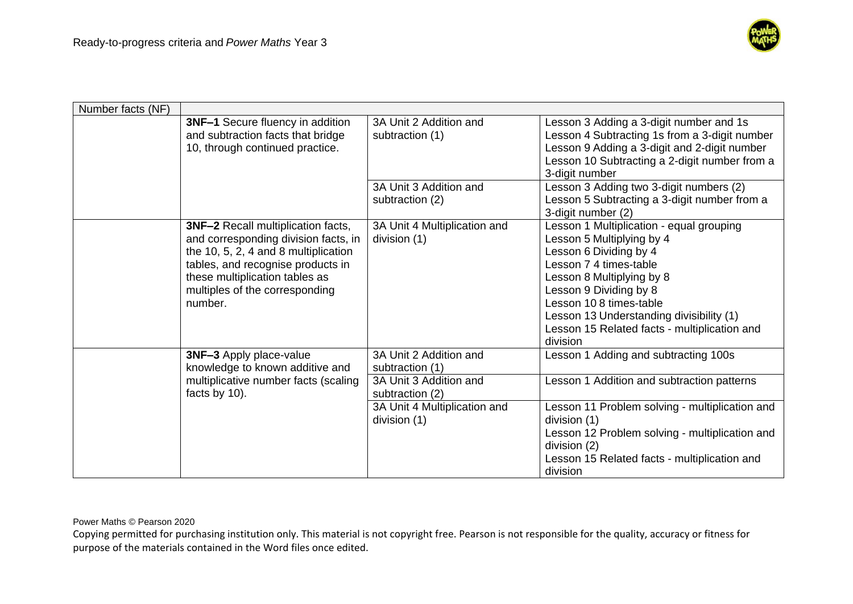

| Number facts (NF) |                                                                                                                                                                                                                                        |                                              |                                                                                                                                                                                                                                                                                                                     |
|-------------------|----------------------------------------------------------------------------------------------------------------------------------------------------------------------------------------------------------------------------------------|----------------------------------------------|---------------------------------------------------------------------------------------------------------------------------------------------------------------------------------------------------------------------------------------------------------------------------------------------------------------------|
|                   | 3NF-1 Secure fluency in addition<br>and subtraction facts that bridge<br>10, through continued practice.                                                                                                                               | 3A Unit 2 Addition and<br>subtraction (1)    | Lesson 3 Adding a 3-digit number and 1s<br>Lesson 4 Subtracting 1s from a 3-digit number<br>Lesson 9 Adding a 3-digit and 2-digit number<br>Lesson 10 Subtracting a 2-digit number from a<br>3-digit number                                                                                                         |
|                   |                                                                                                                                                                                                                                        | 3A Unit 3 Addition and<br>subtraction (2)    | Lesson 3 Adding two 3-digit numbers (2)<br>Lesson 5 Subtracting a 3-digit number from a<br>3-digit number (2)                                                                                                                                                                                                       |
|                   | 3NF-2 Recall multiplication facts,<br>and corresponding division facts, in<br>the 10, 5, 2, 4 and 8 multiplication<br>tables, and recognise products in<br>these multiplication tables as<br>multiples of the corresponding<br>number. | 3A Unit 4 Multiplication and<br>division (1) | Lesson 1 Multiplication - equal grouping<br>Lesson 5 Multiplying by 4<br>Lesson 6 Dividing by 4<br>Lesson 7 4 times-table<br>Lesson 8 Multiplying by 8<br>Lesson 9 Dividing by 8<br>Lesson 10 8 times-table<br>Lesson 13 Understanding divisibility (1)<br>Lesson 15 Related facts - multiplication and<br>division |
|                   | 3NF-3 Apply place-value<br>knowledge to known additive and                                                                                                                                                                             | 3A Unit 2 Addition and<br>subtraction (1)    | Lesson 1 Adding and subtracting 100s                                                                                                                                                                                                                                                                                |
|                   | multiplicative number facts (scaling<br>facts by 10).                                                                                                                                                                                  | 3A Unit 3 Addition and<br>subtraction (2)    | Lesson 1 Addition and subtraction patterns                                                                                                                                                                                                                                                                          |
|                   |                                                                                                                                                                                                                                        | 3A Unit 4 Multiplication and<br>division (1) | Lesson 11 Problem solving - multiplication and<br>division (1)<br>Lesson 12 Problem solving - multiplication and<br>division (2)<br>Lesson 15 Related facts - multiplication and<br>division                                                                                                                        |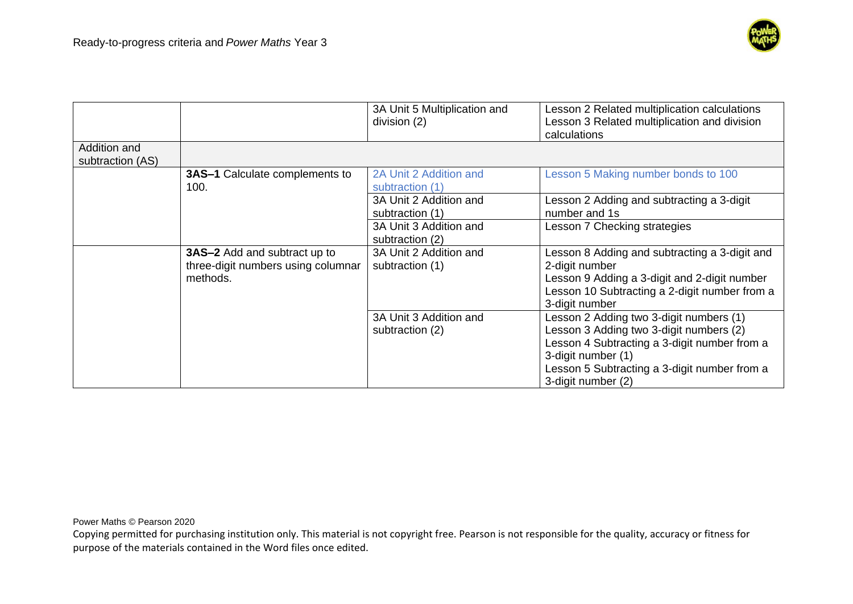

|                                  |                                                                                | 3A Unit 5 Multiplication and<br>division (2) | Lesson 2 Related multiplication calculations<br>Lesson 3 Related multiplication and division<br>calculations                                                                                                                   |
|----------------------------------|--------------------------------------------------------------------------------|----------------------------------------------|--------------------------------------------------------------------------------------------------------------------------------------------------------------------------------------------------------------------------------|
| Addition and<br>subtraction (AS) |                                                                                |                                              |                                                                                                                                                                                                                                |
|                                  | <b>3AS-1</b> Calculate complements to<br>100.                                  | 2A Unit 2 Addition and<br>subtraction (1)    | Lesson 5 Making number bonds to 100                                                                                                                                                                                            |
|                                  |                                                                                | 3A Unit 2 Addition and<br>subtraction (1)    | Lesson 2 Adding and subtracting a 3-digit<br>number and 1s                                                                                                                                                                     |
|                                  |                                                                                | 3A Unit 3 Addition and<br>subtraction (2)    | Lesson 7 Checking strategies                                                                                                                                                                                                   |
|                                  | 3AS-2 Add and subtract up to<br>three-digit numbers using columnar<br>methods. | 3A Unit 2 Addition and<br>subtraction (1)    | Lesson 8 Adding and subtracting a 3-digit and<br>2-digit number<br>Lesson 9 Adding a 3-digit and 2-digit number<br>Lesson 10 Subtracting a 2-digit number from a<br>3-digit number                                             |
|                                  |                                                                                | 3A Unit 3 Addition and<br>subtraction (2)    | Lesson 2 Adding two 3-digit numbers (1)<br>Lesson 3 Adding two 3-digit numbers (2)<br>Lesson 4 Subtracting a 3-digit number from a<br>3-digit number (1)<br>Lesson 5 Subtracting a 3-digit number from a<br>3-digit number (2) |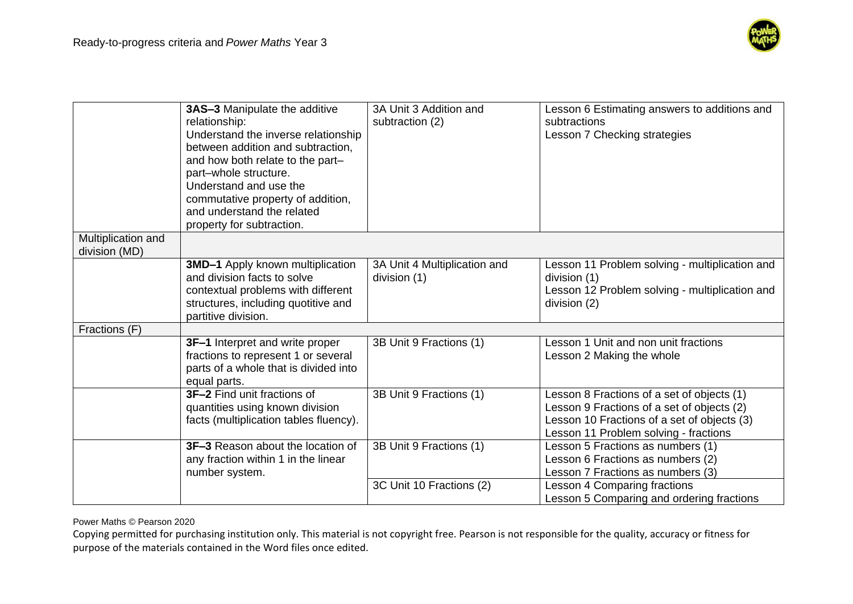

|                                     | 3AS-3 Manipulate the additive<br>relationship:<br>Understand the inverse relationship<br>between addition and subtraction,<br>and how both relate to the part-<br>part-whole structure.<br>Understand and use the<br>commutative property of addition,<br>and understand the related<br>property for subtraction. | 3A Unit 3 Addition and<br>subtraction (2)    | Lesson 6 Estimating answers to additions and<br>subtractions<br>Lesson 7 Checking strategies                                                                                     |
|-------------------------------------|-------------------------------------------------------------------------------------------------------------------------------------------------------------------------------------------------------------------------------------------------------------------------------------------------------------------|----------------------------------------------|----------------------------------------------------------------------------------------------------------------------------------------------------------------------------------|
| Multiplication and<br>division (MD) |                                                                                                                                                                                                                                                                                                                   |                                              |                                                                                                                                                                                  |
|                                     | <b>3MD-1</b> Apply known multiplication<br>and division facts to solve<br>contextual problems with different<br>structures, including quotitive and<br>partitive division.                                                                                                                                        | 3A Unit 4 Multiplication and<br>division (1) | Lesson 11 Problem solving - multiplication and<br>division (1)<br>Lesson 12 Problem solving - multiplication and<br>division (2)                                                 |
| Fractions (F)                       |                                                                                                                                                                                                                                                                                                                   |                                              |                                                                                                                                                                                  |
|                                     | 3F-1 Interpret and write proper<br>fractions to represent 1 or several<br>parts of a whole that is divided into<br>equal parts.                                                                                                                                                                                   | 3B Unit 9 Fractions (1)                      | Lesson 1 Unit and non unit fractions<br>Lesson 2 Making the whole                                                                                                                |
|                                     | 3F-2 Find unit fractions of<br>quantities using known division<br>facts (multiplication tables fluency).                                                                                                                                                                                                          | 3B Unit 9 Fractions (1)                      | Lesson 8 Fractions of a set of objects (1)<br>Lesson 9 Fractions of a set of objects (2)<br>Lesson 10 Fractions of a set of objects (3)<br>Lesson 11 Problem solving - fractions |
|                                     | 3F-3 Reason about the location of<br>any fraction within 1 in the linear<br>number system.                                                                                                                                                                                                                        | 3B Unit 9 Fractions (1)                      | Lesson 5 Fractions as numbers (1)<br>Lesson 6 Fractions as numbers (2)<br>Lesson 7 Fractions as numbers (3)                                                                      |
|                                     |                                                                                                                                                                                                                                                                                                                   | 3C Unit 10 Fractions (2)                     | <b>Lesson 4 Comparing fractions</b><br>Lesson 5 Comparing and ordering fractions                                                                                                 |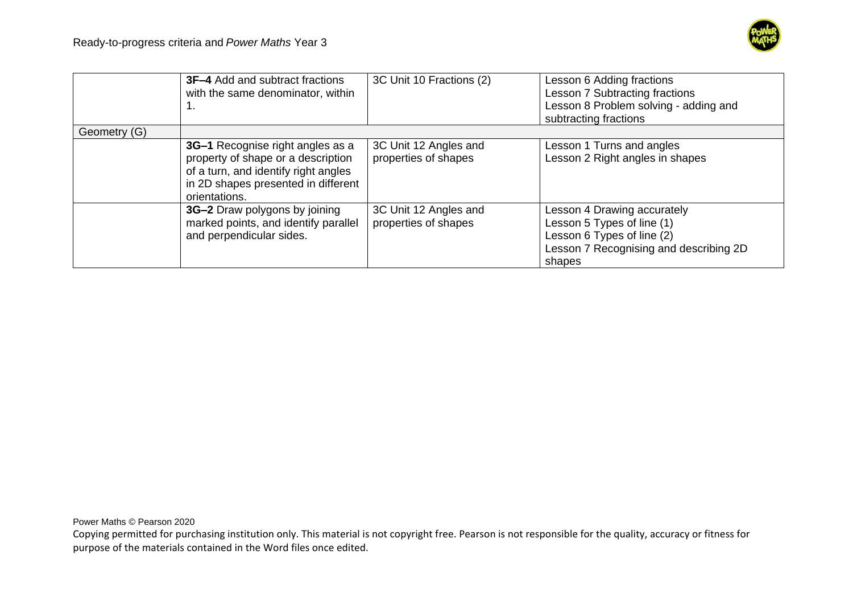

|              | <b>3F-4</b> Add and subtract fractions<br>with the same denominator, within<br>1.                                                                                      | 3C Unit 10 Fractions (2)                      | Lesson 6 Adding fractions<br>Lesson 7 Subtracting fractions<br>Lesson 8 Problem solving - adding and<br>subtracting fractions               |
|--------------|------------------------------------------------------------------------------------------------------------------------------------------------------------------------|-----------------------------------------------|---------------------------------------------------------------------------------------------------------------------------------------------|
| Geometry (G) |                                                                                                                                                                        |                                               |                                                                                                                                             |
|              | 3G-1 Recognise right angles as a<br>property of shape or a description<br>of a turn, and identify right angles<br>in 2D shapes presented in different<br>orientations. | 3C Unit 12 Angles and<br>properties of shapes | Lesson 1 Turns and angles<br>Lesson 2 Right angles in shapes                                                                                |
|              | 3G-2 Draw polygons by joining<br>marked points, and identify parallel<br>and perpendicular sides.                                                                      | 3C Unit 12 Angles and<br>properties of shapes | Lesson 4 Drawing accurately<br>Lesson 5 Types of line (1)<br>Lesson 6 Types of line (2)<br>Lesson 7 Recognising and describing 2D<br>shapes |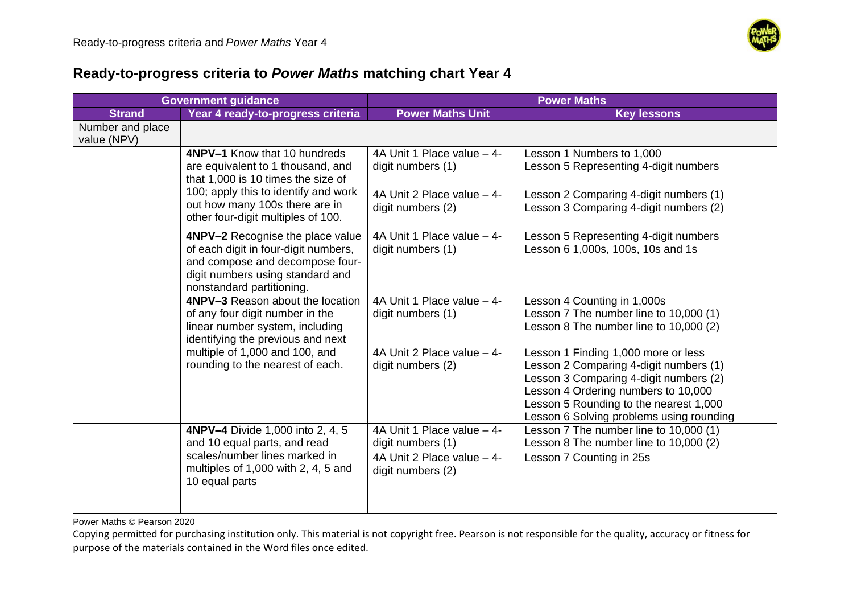

| <b>Government guidance</b>      |                                                                                                                                                                                                                   | <b>Power Maths</b>                              |                                                                                                                                                                                                                                                      |
|---------------------------------|-------------------------------------------------------------------------------------------------------------------------------------------------------------------------------------------------------------------|-------------------------------------------------|------------------------------------------------------------------------------------------------------------------------------------------------------------------------------------------------------------------------------------------------------|
| <b>Strand</b>                   | Year 4 ready-to-progress criteria                                                                                                                                                                                 | <b>Power Maths Unit</b>                         | <b>Key lessons</b>                                                                                                                                                                                                                                   |
| Number and place<br>value (NPV) |                                                                                                                                                                                                                   |                                                 |                                                                                                                                                                                                                                                      |
|                                 | 4NPV-1 Know that 10 hundreds<br>are equivalent to 1 thousand, and<br>that 1,000 is 10 times the size of                                                                                                           | 4A Unit 1 Place value - 4-<br>digit numbers (1) | Lesson 1 Numbers to 1,000<br>Lesson 5 Representing 4-digit numbers                                                                                                                                                                                   |
|                                 | 100; apply this to identify and work<br>out how many 100s there are in<br>other four-digit multiples of 100.                                                                                                      | 4A Unit 2 Place value - 4-<br>digit numbers (2) | Lesson 2 Comparing 4-digit numbers (1)<br>Lesson 3 Comparing 4-digit numbers (2)                                                                                                                                                                     |
|                                 | 4NPV-2 Recognise the place value<br>of each digit in four-digit numbers,<br>and compose and decompose four-<br>digit numbers using standard and<br>nonstandard partitioning.                                      | 4A Unit 1 Place value - 4-<br>digit numbers (1) | Lesson 5 Representing 4-digit numbers<br>Lesson 6 1,000s, 100s, 10s and 1s                                                                                                                                                                           |
|                                 | 4NPV-3 Reason about the location<br>of any four digit number in the<br>linear number system, including<br>identifying the previous and next<br>multiple of 1,000 and 100, and<br>rounding to the nearest of each. | 4A Unit 1 Place value - 4-<br>digit numbers (1) | Lesson 4 Counting in 1,000s<br>Lesson 7 The number line to 10,000 (1)<br>Lesson 8 The number line to 10,000 (2)                                                                                                                                      |
|                                 |                                                                                                                                                                                                                   | 4A Unit 2 Place value - 4-<br>digit numbers (2) | Lesson 1 Finding 1,000 more or less<br>Lesson 2 Comparing 4-digit numbers (1)<br>Lesson 3 Comparing 4-digit numbers (2)<br>Lesson 4 Ordering numbers to 10,000<br>Lesson 5 Rounding to the nearest 1,000<br>Lesson 6 Solving problems using rounding |
|                                 | 4NPV-4 Divide 1,000 into 2, 4, 5<br>and 10 equal parts, and read                                                                                                                                                  | 4A Unit 1 Place value - 4-<br>digit numbers (1) | Lesson 7 The number line to 10,000 (1)<br>Lesson 8 The number line to 10,000 (2)                                                                                                                                                                     |
|                                 | scales/number lines marked in<br>multiples of $1,000$ with 2, 4, 5 and<br>10 equal parts                                                                                                                          | 4A Unit 2 Place value - 4-<br>digit numbers (2) | Lesson 7 Counting in 25s                                                                                                                                                                                                                             |

Power Maths © Pearson 2020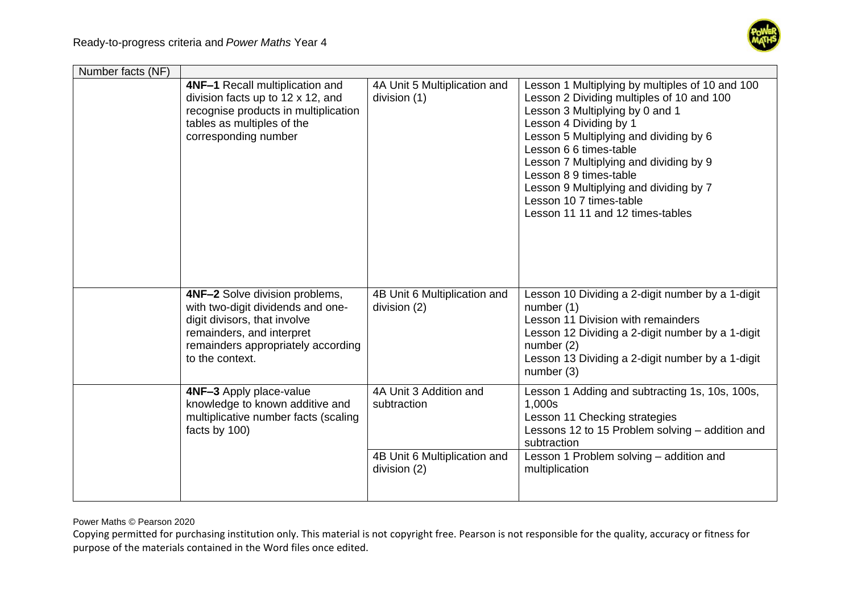

| Number facts (NF) |                                                                                                                                                                                                  |                                              |                                                                                                                                                                                                                                                                                                                                                                                                            |
|-------------------|--------------------------------------------------------------------------------------------------------------------------------------------------------------------------------------------------|----------------------------------------------|------------------------------------------------------------------------------------------------------------------------------------------------------------------------------------------------------------------------------------------------------------------------------------------------------------------------------------------------------------------------------------------------------------|
|                   | <b>4NF-1 Recall multiplication and</b><br>division facts up to 12 x 12, and<br>recognise products in multiplication<br>tables as multiples of the<br>corresponding number                        | 4A Unit 5 Multiplication and<br>division (1) | Lesson 1 Multiplying by multiples of 10 and 100<br>Lesson 2 Dividing multiples of 10 and 100<br>Lesson 3 Multiplying by 0 and 1<br>Lesson 4 Dividing by 1<br>Lesson 5 Multiplying and dividing by 6<br>Lesson 6 6 times-table<br>Lesson 7 Multiplying and dividing by 9<br>Lesson 8 9 times-table<br>Lesson 9 Multiplying and dividing by 7<br>Lesson 10 7 times-table<br>Lesson 11 11 and 12 times-tables |
|                   | <b>4NF-2</b> Solve division problems,<br>with two-digit dividends and one-<br>digit divisors, that involve<br>remainders, and interpret<br>remainders appropriately according<br>to the context. | 4B Unit 6 Multiplication and<br>division (2) | Lesson 10 Dividing a 2-digit number by a 1-digit<br>number $(1)$<br>Lesson 11 Division with remainders<br>Lesson 12 Dividing a 2-digit number by a 1-digit<br>number $(2)$<br>Lesson 13 Dividing a 2-digit number by a 1-digit<br>number (3)                                                                                                                                                               |
|                   | 4NF-3 Apply place-value<br>knowledge to known additive and<br>multiplicative number facts (scaling<br>facts by 100)                                                                              | 4A Unit 3 Addition and<br>subtraction        | Lesson 1 Adding and subtracting 1s, 10s, 100s,<br>1,000s<br>Lesson 11 Checking strategies<br>Lessons 12 to 15 Problem solving - addition and<br>subtraction                                                                                                                                                                                                                                                |
|                   |                                                                                                                                                                                                  | 4B Unit 6 Multiplication and<br>division (2) | Lesson 1 Problem solving - addition and<br>multiplication                                                                                                                                                                                                                                                                                                                                                  |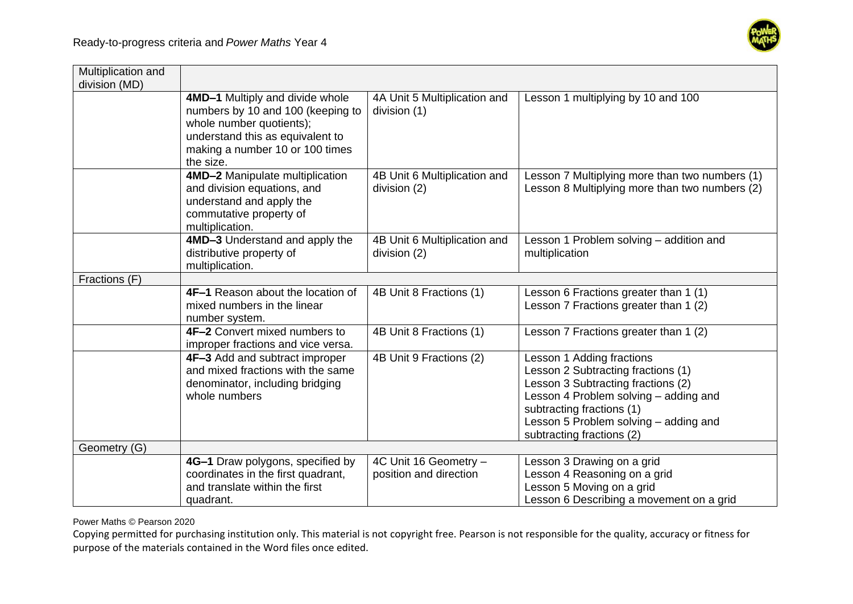

| Multiplication and |                                    |                              |                                                |
|--------------------|------------------------------------|------------------------------|------------------------------------------------|
| division (MD)      |                                    |                              |                                                |
|                    | 4MD-1 Multiply and divide whole    | 4A Unit 5 Multiplication and | Lesson 1 multiplying by 10 and 100             |
|                    | numbers by 10 and 100 (keeping to  | division (1)                 |                                                |
|                    | whole number quotients);           |                              |                                                |
|                    | understand this as equivalent to   |                              |                                                |
|                    | making a number 10 or 100 times    |                              |                                                |
|                    | the size.                          |                              |                                                |
|                    | 4MD-2 Manipulate multiplication    | 4B Unit 6 Multiplication and | Lesson 7 Multiplying more than two numbers (1) |
|                    | and division equations, and        | division (2)                 | Lesson 8 Multiplying more than two numbers (2) |
|                    | understand and apply the           |                              |                                                |
|                    | commutative property of            |                              |                                                |
|                    | multiplication.                    |                              |                                                |
|                    | 4MD-3 Understand and apply the     | 4B Unit 6 Multiplication and | Lesson 1 Problem solving - addition and        |
|                    | distributive property of           | division (2)                 | multiplication                                 |
|                    | multiplication.                    |                              |                                                |
| Fractions (F)      |                                    |                              |                                                |
|                    | 4F-1 Reason about the location of  | 4B Unit 8 Fractions (1)      | Lesson 6 Fractions greater than 1 (1)          |
|                    | mixed numbers in the linear        |                              | Lesson 7 Fractions greater than 1 (2)          |
|                    | number system.                     |                              |                                                |
|                    | 4F-2 Convert mixed numbers to      | 4B Unit 8 Fractions (1)      | Lesson 7 Fractions greater than 1 (2)          |
|                    | improper fractions and vice versa. |                              |                                                |
|                    | 4F-3 Add and subtract improper     | 4B Unit 9 Fractions (2)      | Lesson 1 Adding fractions                      |
|                    | and mixed fractions with the same  |                              | Lesson 2 Subtracting fractions (1)             |
|                    | denominator, including bridging    |                              | Lesson 3 Subtracting fractions (2)             |
|                    | whole numbers                      |                              | Lesson 4 Problem solving - adding and          |
|                    |                                    |                              | subtracting fractions (1)                      |
|                    |                                    |                              | Lesson 5 Problem solving - adding and          |
|                    |                                    |                              | subtracting fractions (2)                      |
| Geometry (G)       |                                    |                              |                                                |
|                    | 4G-1 Draw polygons, specified by   | 4C Unit 16 Geometry -        | Lesson 3 Drawing on a grid                     |
|                    | coordinates in the first quadrant, | position and direction       | Lesson 4 Reasoning on a grid                   |
|                    | and translate within the first     |                              | Lesson 5 Moving on a grid                      |
|                    | quadrant.                          |                              | Lesson 6 Describing a movement on a grid       |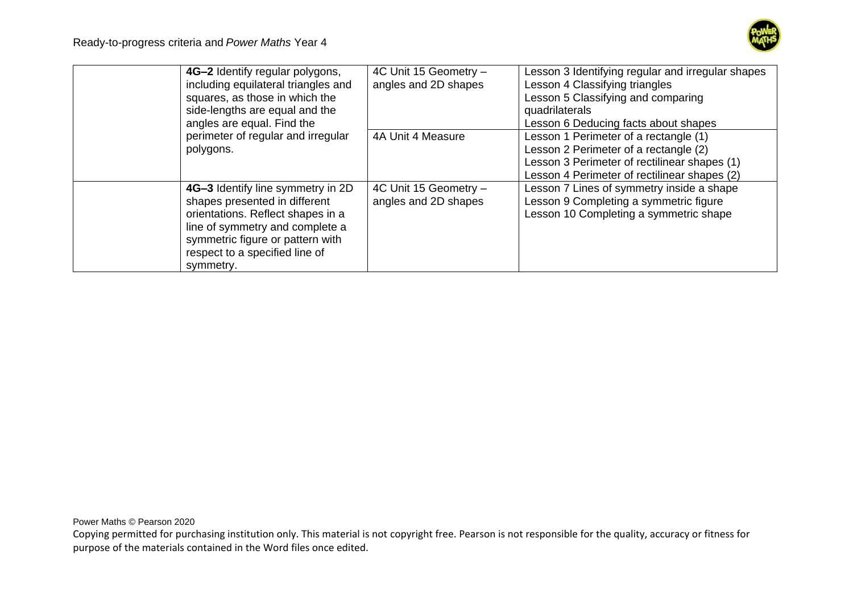

| 4G-2 Identify regular polygons,<br>including equilateral triangles and<br>squares, as those in which the<br>side-lengths are equal and the<br>angles are equal. Find the                                                      | 4C Unit 15 Geometry -<br>angles and 2D shapes | Lesson 3 Identifying regular and irregular shapes<br>Lesson 4 Classifying triangles<br>Lesson 5 Classifying and comparing<br>quadrilaterals<br>Lesson 6 Deducing facts about shapes |
|-------------------------------------------------------------------------------------------------------------------------------------------------------------------------------------------------------------------------------|-----------------------------------------------|-------------------------------------------------------------------------------------------------------------------------------------------------------------------------------------|
| perimeter of regular and irregular<br>polygons.                                                                                                                                                                               | 4A Unit 4 Measure                             | Lesson 1 Perimeter of a rectangle (1)<br>Lesson 2 Perimeter of a rectangle (2)<br>Lesson 3 Perimeter of rectilinear shapes (1)<br>Lesson 4 Perimeter of rectilinear shapes (2)      |
| 4G-3 Identify line symmetry in 2D<br>shapes presented in different<br>orientations. Reflect shapes in a<br>line of symmetry and complete a<br>symmetric figure or pattern with<br>respect to a specified line of<br>symmetry. | 4C Unit 15 Geometry -<br>angles and 2D shapes | Lesson 7 Lines of symmetry inside a shape<br>Lesson 9 Completing a symmetric figure<br>Lesson 10 Completing a symmetric shape                                                       |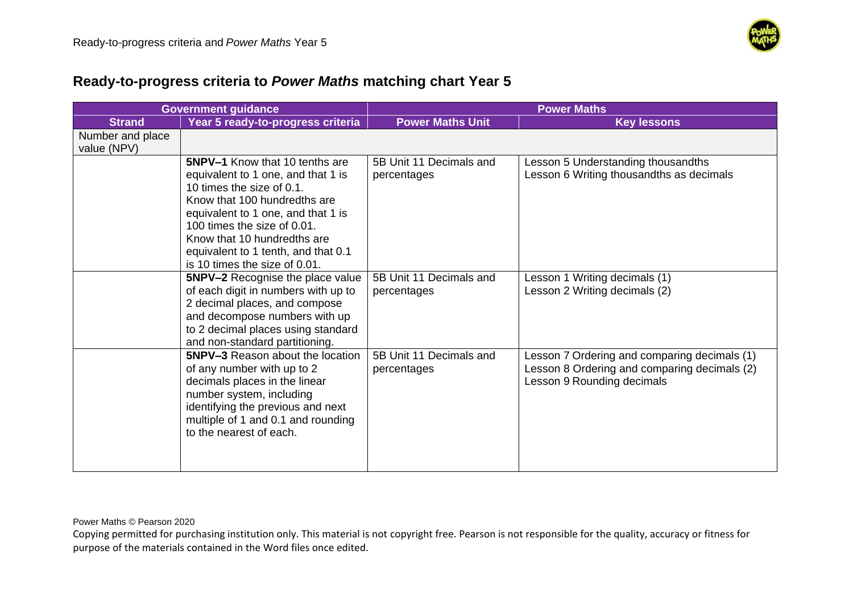

| <b>Government guidance</b> |                                         | <b>Power Maths</b>      |                                              |
|----------------------------|-----------------------------------------|-------------------------|----------------------------------------------|
| <b>Strand</b>              | Year 5 ready-to-progress criteria       | <b>Power Maths Unit</b> | <b>Key lessons</b>                           |
| Number and place           |                                         |                         |                                              |
| value (NPV)                |                                         |                         |                                              |
|                            | <b>5NPV-1</b> Know that 10 tenths are   | 5B Unit 11 Decimals and | Lesson 5 Understanding thousandths           |
|                            | equivalent to 1 one, and that 1 is      | percentages             | Lesson 6 Writing thousandths as decimals     |
|                            | 10 times the size of 0.1.               |                         |                                              |
|                            | Know that 100 hundredths are            |                         |                                              |
|                            | equivalent to 1 one, and that 1 is      |                         |                                              |
|                            | 100 times the size of 0.01.             |                         |                                              |
|                            | Know that 10 hundredths are             |                         |                                              |
|                            | equivalent to 1 tenth, and that 0.1     |                         |                                              |
|                            | is 10 times the size of 0.01.           |                         |                                              |
|                            | 5NPV-2 Recognise the place value        | 5B Unit 11 Decimals and | Lesson 1 Writing decimals (1)                |
|                            | of each digit in numbers with up to     | percentages             | Lesson 2 Writing decimals (2)                |
|                            | 2 decimal places, and compose           |                         |                                              |
|                            | and decompose numbers with up           |                         |                                              |
|                            | to 2 decimal places using standard      |                         |                                              |
|                            | and non-standard partitioning.          |                         |                                              |
|                            | <b>5NPV-3</b> Reason about the location | 5B Unit 11 Decimals and | esson 7 Ordering and comparing decimals (1)  |
|                            | of any number with up to 2              | percentages             | Lesson 8 Ordering and comparing decimals (2) |
|                            | decimals places in the linear           |                         | Lesson 9 Rounding decimals                   |
|                            | number system, including                |                         |                                              |
|                            | identifying the previous and next       |                         |                                              |
|                            | multiple of 1 and 0.1 and rounding      |                         |                                              |
|                            | to the nearest of each.                 |                         |                                              |
|                            |                                         |                         |                                              |
|                            |                                         |                         |                                              |

Power Maths © Pearson 2020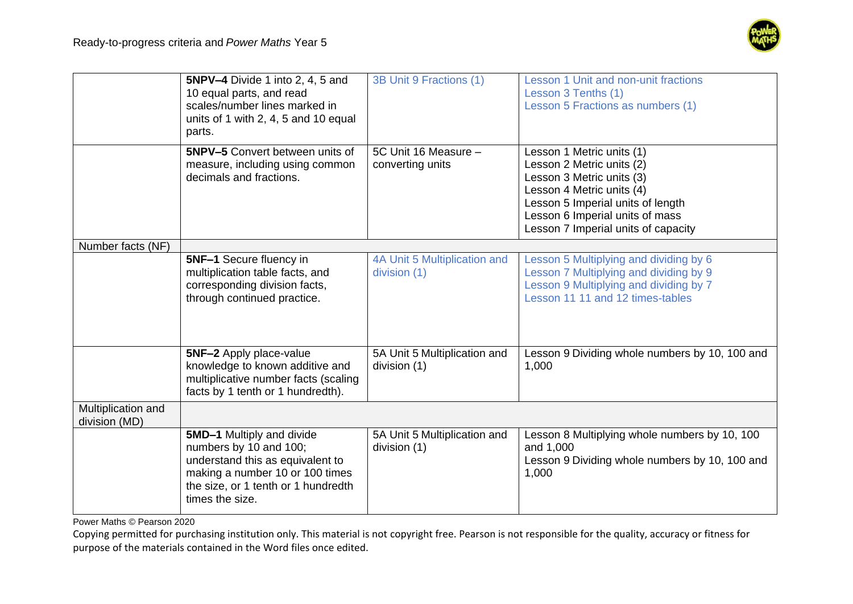

|                                     | 5NPV-4 Divide 1 into 2, 4, 5 and<br>10 equal parts, and read<br>scales/number lines marked in<br>units of 1 with 2, 4, 5 and 10 equal<br>parts.                                      | 3B Unit 9 Fractions (1)                      | Lesson 1 Unit and non-unit fractions<br>Lesson 3 Tenths (1)<br>Lesson 5 Fractions as numbers (1)                                                                                                                                |
|-------------------------------------|--------------------------------------------------------------------------------------------------------------------------------------------------------------------------------------|----------------------------------------------|---------------------------------------------------------------------------------------------------------------------------------------------------------------------------------------------------------------------------------|
|                                     | <b>5NPV-5</b> Convert between units of<br>measure, including using common<br>decimals and fractions.                                                                                 | 5C Unit 16 Measure -<br>converting units     | Lesson 1 Metric units (1)<br>Lesson 2 Metric units (2)<br>Lesson 3 Metric units (3)<br>Lesson 4 Metric units (4)<br>Lesson 5 Imperial units of length<br>Lesson 6 Imperial units of mass<br>Lesson 7 Imperial units of capacity |
| Number facts (NF)                   |                                                                                                                                                                                      |                                              |                                                                                                                                                                                                                                 |
|                                     | 5NF-1 Secure fluency in<br>multiplication table facts, and<br>corresponding division facts,<br>through continued practice.                                                           | 4A Unit 5 Multiplication and<br>division (1) | Lesson 5 Multiplying and dividing by 6<br>Lesson 7 Multiplying and dividing by 9<br>Lesson 9 Multiplying and dividing by 7<br>Lesson 11 11 and 12 times-tables                                                                  |
|                                     | 5NF-2 Apply place-value<br>knowledge to known additive and<br>multiplicative number facts (scaling<br>facts by 1 tenth or 1 hundredth).                                              | 5A Unit 5 Multiplication and<br>division (1) | Lesson 9 Dividing whole numbers by 10, 100 and<br>1,000                                                                                                                                                                         |
| Multiplication and<br>division (MD) |                                                                                                                                                                                      |                                              |                                                                                                                                                                                                                                 |
|                                     | 5MD-1 Multiply and divide<br>numbers by 10 and 100;<br>understand this as equivalent to<br>making a number 10 or 100 times<br>the size, or 1 tenth or 1 hundredth<br>times the size. | 5A Unit 5 Multiplication and<br>division (1) | Lesson 8 Multiplying whole numbers by 10, 100<br>and 1,000<br>Lesson 9 Dividing whole numbers by 10, 100 and<br>1,000                                                                                                           |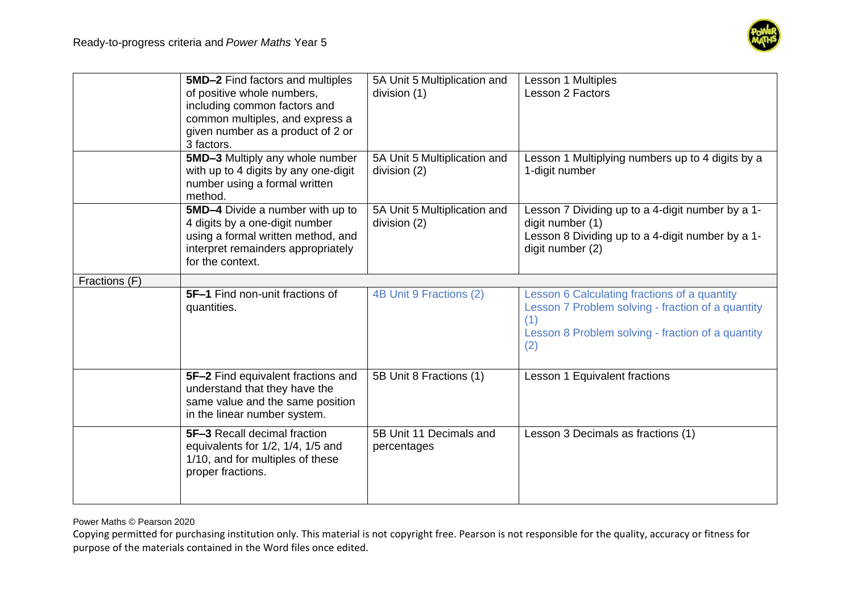

|               | <b>5MD-2</b> Find factors and multiples<br>of positive whole numbers,<br>including common factors and<br>common multiples, and express a<br>given number as a product of 2 or<br>3 factors. | 5A Unit 5 Multiplication and<br>division (1) | Lesson 1 Multiples<br>Lesson 2 Factors                                                                                                                        |
|---------------|---------------------------------------------------------------------------------------------------------------------------------------------------------------------------------------------|----------------------------------------------|---------------------------------------------------------------------------------------------------------------------------------------------------------------|
|               | 5MD-3 Multiply any whole number<br>with up to 4 digits by any one-digit<br>number using a formal written<br>method.                                                                         | 5A Unit 5 Multiplication and<br>division (2) | Lesson 1 Multiplying numbers up to 4 digits by a<br>1-digit number                                                                                            |
|               | <b>5MD-4</b> Divide a number with up to<br>4 digits by a one-digit number<br>using a formal written method, and<br>interpret remainders appropriately<br>for the context.                   | 5A Unit 5 Multiplication and<br>division (2) | Lesson 7 Dividing up to a 4-digit number by a 1-<br>digit number (1)<br>Lesson 8 Dividing up to a 4-digit number by a 1-<br>digit number (2)                  |
| Fractions (F) |                                                                                                                                                                                             |                                              |                                                                                                                                                               |
|               | <b>5F-1</b> Find non-unit fractions of<br>quantities.                                                                                                                                       | 4B Unit 9 Fractions (2)                      | Lesson 6 Calculating fractions of a quantity<br>Lesson 7 Problem solving - fraction of a quantity<br>Lesson 8 Problem solving - fraction of a quantity<br>(2) |
|               | 5F-2 Find equivalent fractions and<br>understand that they have the<br>same value and the same position<br>in the linear number system.                                                     | 5B Unit 8 Fractions (1)                      | Lesson 1 Equivalent fractions                                                                                                                                 |
|               | 5F-3 Recall decimal fraction<br>equivalents for 1/2, 1/4, 1/5 and<br>1/10, and for multiples of these<br>proper fractions.                                                                  | 5B Unit 11 Decimals and<br>percentages       | Lesson 3 Decimals as fractions (1)                                                                                                                            |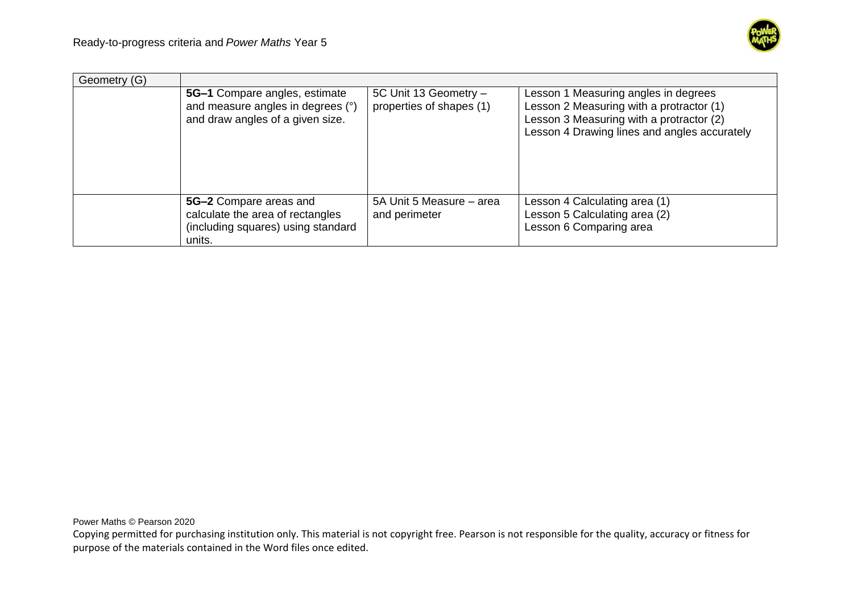

| Geometry (G) |                                                                                                            |                                                   |                                                                                                                                                                              |
|--------------|------------------------------------------------------------------------------------------------------------|---------------------------------------------------|------------------------------------------------------------------------------------------------------------------------------------------------------------------------------|
|              | 5G-1 Compare angles, estimate<br>and measure angles in degrees (°)<br>and draw angles of a given size.     | 5C Unit 13 Geometry -<br>properties of shapes (1) | Lesson 1 Measuring angles in degrees<br>Lesson 2 Measuring with a protractor (1)<br>Lesson 3 Measuring with a protractor (2)<br>Lesson 4 Drawing lines and angles accurately |
|              | 5G-2 Compare areas and<br>calculate the area of rectangles<br>(including squares) using standard<br>units. | 5A Unit 5 Measure - area<br>and perimeter         | Lesson 4 Calculating area (1)<br>Lesson 5 Calculating area (2)<br>Lesson 6 Comparing area                                                                                    |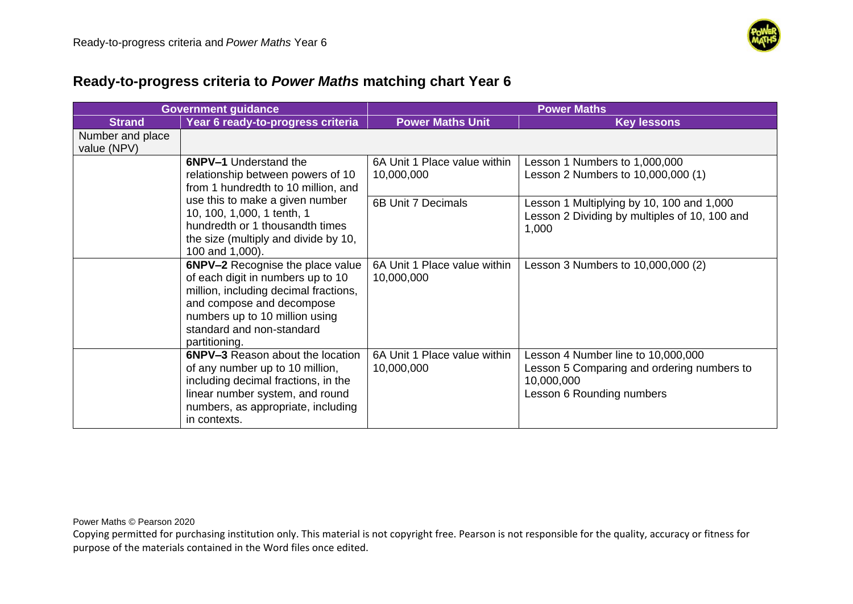

| <b>Government guidance</b>      |                                                                                                                                                                                                                                    | <b>Power Maths</b>                         |                                                                                                                             |
|---------------------------------|------------------------------------------------------------------------------------------------------------------------------------------------------------------------------------------------------------------------------------|--------------------------------------------|-----------------------------------------------------------------------------------------------------------------------------|
| <b>Strand</b>                   | Year 6 ready-to-progress criteria                                                                                                                                                                                                  | <b>Power Maths Unit</b>                    | <b>Key lessons</b>                                                                                                          |
| Number and place<br>value (NPV) |                                                                                                                                                                                                                                    |                                            |                                                                                                                             |
|                                 | <b>6NPV-1 Understand the</b><br>relationship between powers of 10<br>from 1 hundredth to 10 million, and                                                                                                                           | 6A Unit 1 Place value within<br>10,000,000 | Lesson 1 Numbers to 1,000,000<br>Lesson 2 Numbers to 10,000,000 (1)                                                         |
|                                 | use this to make a given number<br>10, 100, 1,000, 1 tenth, 1<br>hundredth or 1 thousandth times<br>the size (multiply and divide by 10,<br>100 and 1,000).                                                                        | 6B Unit 7 Decimals                         | Lesson 1 Multiplying by 10, 100 and 1,000<br>Lesson 2 Dividing by multiples of 10, 100 and<br>1,000                         |
|                                 | <b>6NPV-2</b> Recognise the place value<br>of each digit in numbers up to 10<br>million, including decimal fractions,<br>and compose and decompose<br>numbers up to 10 million using<br>standard and non-standard<br>partitioning. | 6A Unit 1 Place value within<br>10,000,000 | Lesson 3 Numbers to 10,000,000 (2)                                                                                          |
|                                 | <b>6NPV-3</b> Reason about the location<br>of any number up to 10 million,<br>including decimal fractions, in the<br>linear number system, and round<br>numbers, as appropriate, including<br>in contexts.                         | 6A Unit 1 Place value within<br>10,000,000 | Lesson 4 Number line to 10,000,000<br>Lesson 5 Comparing and ordering numbers to<br>10,000,000<br>Lesson 6 Rounding numbers |

Power Maths © Pearson 2020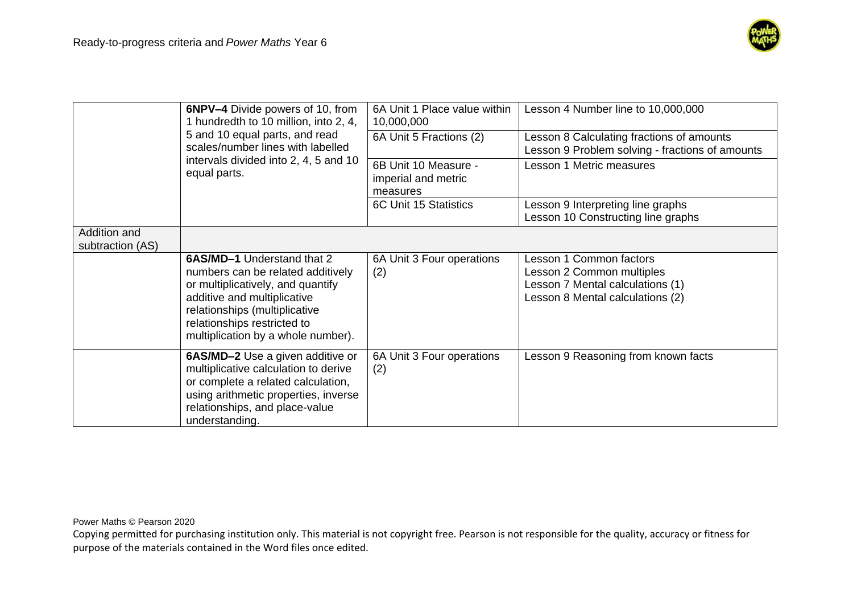

|                                  | 6NPV-4 Divide powers of 10, from<br>1 hundredth to 10 million, into 2, 4,<br>5 and 10 equal parts, and read<br>scales/number lines with labelled<br>intervals divided into 2, 4, 5 and 10<br>equal parts.                                        | 6A Unit 1 Place value within<br>10,000,000<br>6A Unit 5 Fractions (2)<br>6B Unit 10 Measure -<br>imperial and metric<br>measures | Lesson 4 Number line to 10,000,000<br>Lesson 8 Calculating fractions of amounts<br>Lesson 9 Problem solving - fractions of amounts<br><b>Lesson 1 Metric measures</b> |
|----------------------------------|--------------------------------------------------------------------------------------------------------------------------------------------------------------------------------------------------------------------------------------------------|----------------------------------------------------------------------------------------------------------------------------------|-----------------------------------------------------------------------------------------------------------------------------------------------------------------------|
|                                  |                                                                                                                                                                                                                                                  | 6C Unit 15 Statistics                                                                                                            | Lesson 9 Interpreting line graphs<br>Lesson 10 Constructing line graphs                                                                                               |
| Addition and<br>subtraction (AS) |                                                                                                                                                                                                                                                  |                                                                                                                                  |                                                                                                                                                                       |
|                                  | <b>6AS/MD-1</b> Understand that 2<br>numbers can be related additively<br>or multiplicatively, and quantify<br>additive and multiplicative<br>relationships (multiplicative<br>relationships restricted to<br>multiplication by a whole number). | 6A Unit 3 Four operations<br>(2)                                                                                                 | <b>Lesson 1 Common factors</b><br>Lesson 2 Common multiples<br>Lesson 7 Mental calculations (1)<br>Lesson 8 Mental calculations (2)                                   |
|                                  | <b>6AS/MD-2</b> Use a given additive or<br>multiplicative calculation to derive<br>or complete a related calculation,<br>using arithmetic properties, inverse<br>relationships, and place-value<br>understanding.                                | 6A Unit 3 Four operations<br>(2)                                                                                                 | Lesson 9 Reasoning from known facts                                                                                                                                   |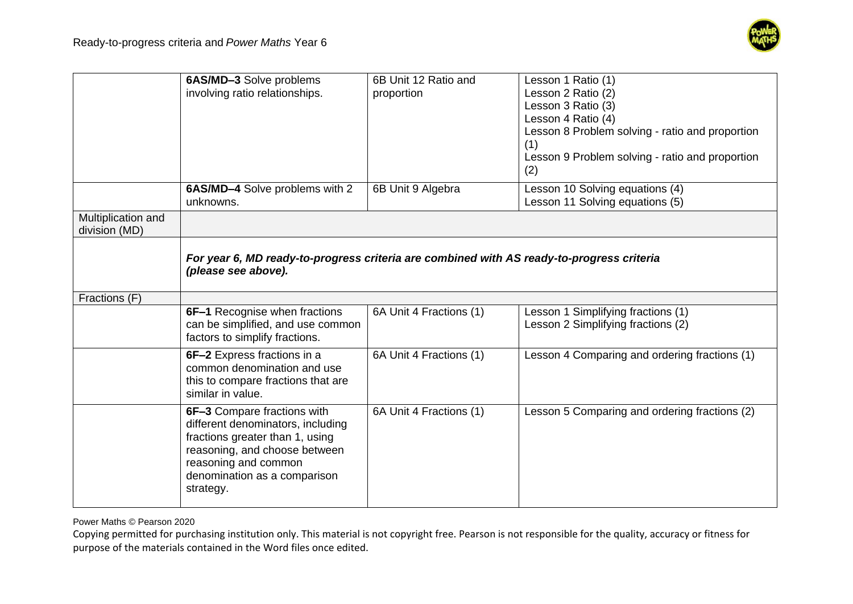

|                                     | 6AS/MD-3 Solve problems<br>involving ratio relationships.                                                                                                                                                 | 6B Unit 12 Ratio and<br>proportion | Lesson 1 Ratio (1)<br>Lesson 2 Ratio (2)<br>Lesson 3 Ratio (3)<br>Lesson 4 Ratio (4)<br>Lesson 8 Problem solving - ratio and proportion<br>(1)<br>Lesson 9 Problem solving - ratio and proportion<br>(2) |
|-------------------------------------|-----------------------------------------------------------------------------------------------------------------------------------------------------------------------------------------------------------|------------------------------------|----------------------------------------------------------------------------------------------------------------------------------------------------------------------------------------------------------|
|                                     | <b>6AS/MD-4</b> Solve problems with 2<br>unknowns.                                                                                                                                                        | 6B Unit 9 Algebra                  | Lesson 10 Solving equations (4)<br>Lesson 11 Solving equations (5)                                                                                                                                       |
| Multiplication and<br>division (MD) |                                                                                                                                                                                                           |                                    |                                                                                                                                                                                                          |
|                                     | For year 6, MD ready-to-progress criteria are combined with AS ready-to-progress criteria<br>(please see above).                                                                                          |                                    |                                                                                                                                                                                                          |
| Fractions (F)                       |                                                                                                                                                                                                           |                                    |                                                                                                                                                                                                          |
|                                     | <b>6F-1</b> Recognise when fractions<br>can be simplified, and use common<br>factors to simplify fractions.                                                                                               | 6A Unit 4 Fractions (1)            | Lesson 1 Simplifying fractions (1)<br>Lesson 2 Simplifying fractions (2)                                                                                                                                 |
|                                     | 6F-2 Express fractions in a<br>common denomination and use<br>this to compare fractions that are<br>similar in value.                                                                                     | 6A Unit 4 Fractions (1)            | Lesson 4 Comparing and ordering fractions (1)                                                                                                                                                            |
|                                     | 6F-3 Compare fractions with<br>different denominators, including<br>fractions greater than 1, using<br>reasoning, and choose between<br>reasoning and common<br>denomination as a comparison<br>strategy. | 6A Unit 4 Fractions (1)            | Lesson 5 Comparing and ordering fractions (2)                                                                                                                                                            |